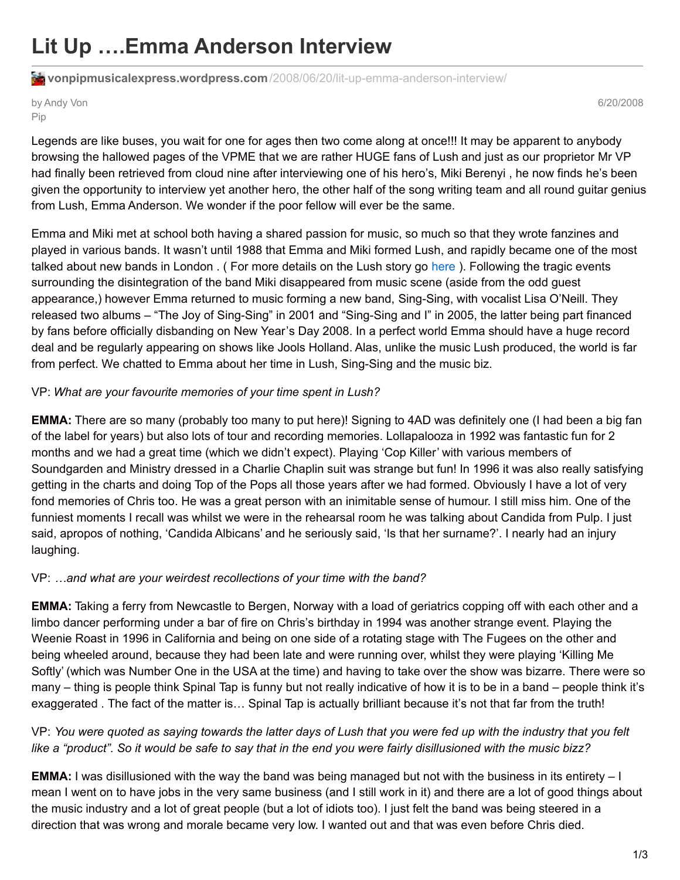# **Lit Up ….Emma Anderson Interview**

**vonpipmusicalexpress.wordpress.com**[/2008/06/20/lit-up-emma-anderson-interview/](https://vonpipmusicalexpress.wordpress.com/2008/06/20/lit-up-emma-anderson-interview/)

#### by Andy Von Pip

6/20/2008

Legends are like buses, you wait for one for ages then two come along at once!!! It may be apparent to anybody browsing the hallowed pages of the VPME that we are rather HUGE fans of Lush and just as our proprietor Mr VP had finally been retrieved from cloud nine after interviewing one of his hero's, Miki Berenyi , he now finds he's been given the opportunity to interview yet another hero, the other half of the song writing team and all round guitar genius from Lush, Emma Anderson. We wonder if the poor fellow will ever be the same.

Emma and Miki met at school both having a shared passion for music, so much so that they wrote fanzines and played in various bands. It wasn't until 1988 that Emma and Miki formed Lush, and rapidly became one of the most talked about new bands in London . ( For more details on the Lush story go [here](https://vonpipmusicalexpress.wordpress.com/2007/07/31/old-favorites-lush/) ). Following the tragic events surrounding the disintegration of the band Miki disappeared from music scene (aside from the odd guest appearance,) however Emma returned to music forming a new band, Sing-Sing, with vocalist Lisa O'Neill. They released two albums – "The Joy of Sing-Sing" in 2001 and "Sing-Sing and I" in 2005, the latter being part financed by fans before officially disbanding on New Year's Day 2008. In a perfect world Emma should have a huge record deal and be regularly appearing on shows like Jools Holland. Alas, unlike the music Lush produced, the world is far from perfect. We chatted to Emma about her time in Lush, Sing-Sing and the music biz.

# VP: *What are your favourite memories of your time spent in Lush?*

**EMMA:** There are so many (probably too many to put here)! Signing to 4AD was definitely one (I had been a big fan of the label for years) but also lots of tour and recording memories. Lollapalooza in 1992 was fantastic fun for 2 months and we had a great time (which we didn't expect). Playing 'Cop Killer' with various members of Soundgarden and Ministry dressed in a Charlie Chaplin suit was strange but fun! In 1996 it was also really satisfying getting in the charts and doing Top of the Pops all those years after we had formed. Obviously I have a lot of very fond memories of Chris too. He was a great person with an inimitable sense of humour. I still miss him. One of the funniest moments I recall was whilst we were in the rehearsal room he was talking about Candida from Pulp. I just said, apropos of nothing, 'Candida Albicans' and he seriously said, 'Is that her surname?'. I nearly had an injury laughing.

# VP: *…and what are your weirdest recollections of your time with the band?*

**EMMA:** Taking a ferry from Newcastle to Bergen, Norway with a load of geriatrics copping off with each other and a limbo dancer performing under a bar of fire on Chris's birthday in 1994 was another strange event. Playing the Weenie Roast in 1996 in California and being on one side of a rotating stage with The Fugees on the other and being wheeled around, because they had been late and were running over, whilst they were playing 'Killing Me Softly' (which was Number One in the USA at the time) and having to take over the show was bizarre. There were so many – thing is people think Spinal Tap is funny but not really indicative of how it is to be in a band – people think it's exaggerated . The fact of the matter is… Spinal Tap is actually brilliant because it's not that far from the truth!

# VP: You were quoted as saying towards the latter days of Lush that you were fed up with the industry that you felt like a "product". So it would be safe to say that in the end you were fairly disillusioned with the music bizz?

**EMMA:** I was disillusioned with the way the band was being managed but not with the business in its entirety – I mean I went on to have jobs in the very same business (and I still work in it) and there are a lot of good things about the music industry and a lot of great people (but a lot of idiots too). I just felt the band was being steered in a direction that was wrong and morale became very low. I wanted out and that was even before Chris died.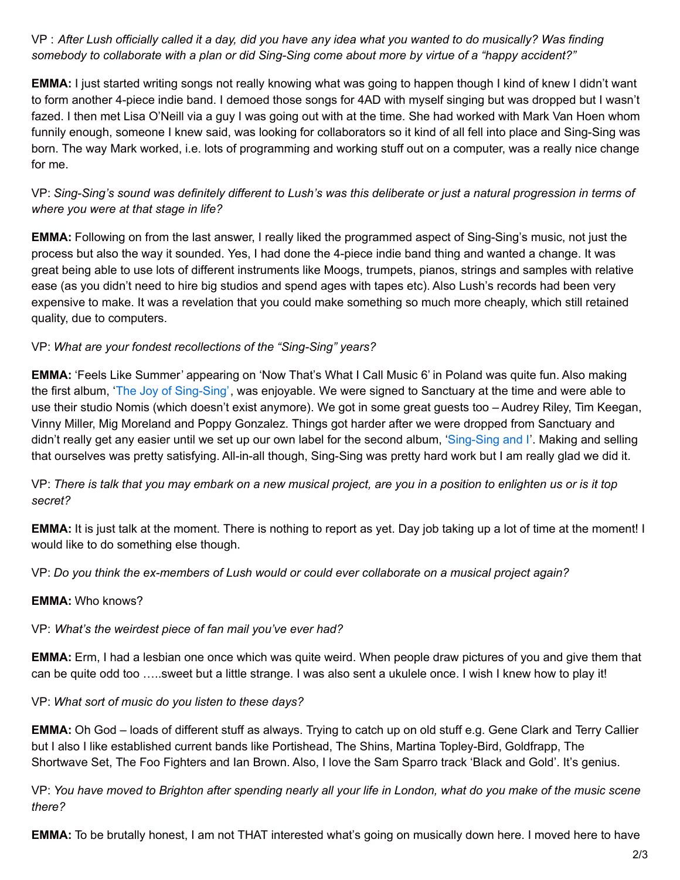VP: After Lush officially called it a day, did you have any idea what you wanted to do musically? Was finding somebody to collaborate with a plan or did Sing-Sing come about more by virtue of a "happy accident?"

**EMMA:** I just started writing songs not really knowing what was going to happen though I kind of knew I didn't want to form another 4-piece indie band. I demoed those songs for 4AD with myself singing but was dropped but I wasn't fazed. I then met Lisa O'Neill via a guy I was going out with at the time. She had worked with Mark Van Hoen whom funnily enough, someone I knew said, was looking for collaborators so it kind of all fell into place and Sing-Sing was born. The way Mark worked, i.e. lots of programming and working stuff out on a computer, was a really nice change for me.

VP: Sing-Sing's sound was definitely different to Lush's was this deliberate or just a natural progression in terms of *where you were at that stage in life?*

**EMMA:** Following on from the last answer, I really liked the programmed aspect of Sing-Sing's music, not just the process but also the way it sounded. Yes, I had done the 4-piece indie band thing and wanted a change. It was great being able to use lots of different instruments like Moogs, trumpets, pianos, strings and samples with relative ease (as you didn't need to hire big studios and spend ages with tapes etc). Also Lush's records had been very expensive to make. It was a revelation that you could make something so much more cheaply, which still retained quality, due to computers.

### VP: *What are your fondest recollections of the "Sing-Sing" years?*

**EMMA:** 'Feels Like Summer' appearing on 'Now That's What I Call Music 6' in Poland was quite fun. Also making the first album, 'The Joy of [Sing-Sing'](http://www.amazon.co.uk/Joy-Sing-Sing/dp/B00005O7PX), was enjoyable. We were signed to Sanctuary at the time and were able to use their studio Nomis (which doesn't exist anymore). We got in some great guests too – Audrey Riley, Tim Keegan, Vinny Miller, Mig Moreland and Poppy Gonzalez. Things got harder after we were dropped from Sanctuary and didn't really get any easier until we set up our own label for the second album, ['Sing-Sing](http://www.amazon.co.uk/Sing-Sing-I/dp/B000ATT2QY/ref=pd_sim_m_h__1) and I'. Making and selling that ourselves was pretty satisfying. All-in-all though, Sing-Sing was pretty hard work but I am really glad we did it.

VP: There is talk that you may embark on a new musical project, are you in a position to enlighten us or is it top *secret?*

**EMMA:** It is just talk at the moment. There is nothing to report as yet. Day job taking up a lot of time at the moment! I would like to do something else though.

VP: *Do you think the ex-members of Lush would or could ever collaborate on a musical project again?*

#### **EMMA:** Who knows?

#### VP: *What's the weirdest piece of fan mail you've ever had?*

**EMMA:** Erm, I had a lesbian one once which was quite weird. When people draw pictures of you and give them that can be quite odd too …..sweet but a little strange. I was also sent a ukulele once. I wish I knew how to play it!

#### VP: *What sort of music do you listen to these days?*

**EMMA:** Oh God – loads of different stuff as always. Trying to catch up on old stuff e.g. Gene Clark and Terry Callier but I also I like established current bands like Portishead, The Shins, Martina Topley-Bird, Goldfrapp, The Shortwave Set, The Foo Fighters and Ian Brown. Also, I love the Sam Sparro track 'Black and Gold'. It's genius.

VP: You have moved to Brighton after spending nearly all your life in London, what do you make of the music scene *there?*

**EMMA:** To be brutally honest, I am not THAT interested what's going on musically down here. I moved here to have